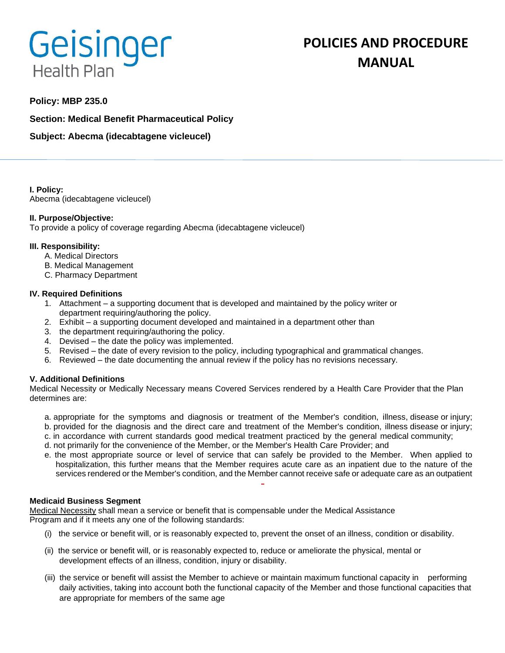# Geisinger **Health Plan**

# **POLICIES AND PROCEDURE MANUAL**

## **Policy: MBP 235.0**

**Section: Medical Benefit Pharmaceutical Policy**

**Subject: Abecma (idecabtagene vicleucel)**

**I. Policy:** Abecma (idecabtagene vicleucel)

### **II. Purpose/Objective:**

To provide a policy of coverage regarding Abecma (idecabtagene vicleucel)

#### **III. Responsibility:**

- A. Medical Directors
- B. Medical Management
- C. Pharmacy Department

#### **IV. Required Definitions**

- 1. Attachment a supporting document that is developed and maintained by the policy writer or department requiring/authoring the policy.
- 2. Exhibit a supporting document developed and maintained in a department other than
- 3. the department requiring/authoring the policy.
- 4. Devised the date the policy was implemented.
- 5. Revised the date of every revision to the policy, including typographical and grammatical changes.
- 6. Reviewed the date documenting the annual review if the policy has no revisions necessary.

### **V. Additional Definitions**

Medical Necessity or Medically Necessary means Covered Services rendered by a Health Care Provider that the Plan determines are:

- a. appropriate for the symptoms and diagnosis or treatment of the Member's condition, illness, disease or injury; b. provided for the diagnosis and the direct care and treatment of the Member's condition, illness disease or injury;
- c. in accordance with current standards good medical treatment practiced by the general medical community;
- d. not primarily for the convenience of the Member, or the Member's Health Care Provider; and
- e. the most appropriate source or level of service that can safely be provided to the Member. When applied to hospitalization, this further means that the Member requires acute care as an inpatient due to the nature of the services rendered or the Member's condition, and the Member cannot receive safe or adequate care as an outpatient

#### **Medicaid Business Segment**

Medical Necessity shall mean a service or benefit that is compensable under the Medical Assistance Program and if it meets any one of the following standards:

- (i) the service or benefit will, or is reasonably expected to, prevent the onset of an illness, condition or disability.
- (ii) the service or benefit will, or is reasonably expected to, reduce or ameliorate the physical, mental or development effects of an illness, condition, injury or disability.
- (iii) the service or benefit will assist the Member to achieve or maintain maximum functional capacity in performing daily activities, taking into account both the functional capacity of the Member and those functional capacities that are appropriate for members of the same age